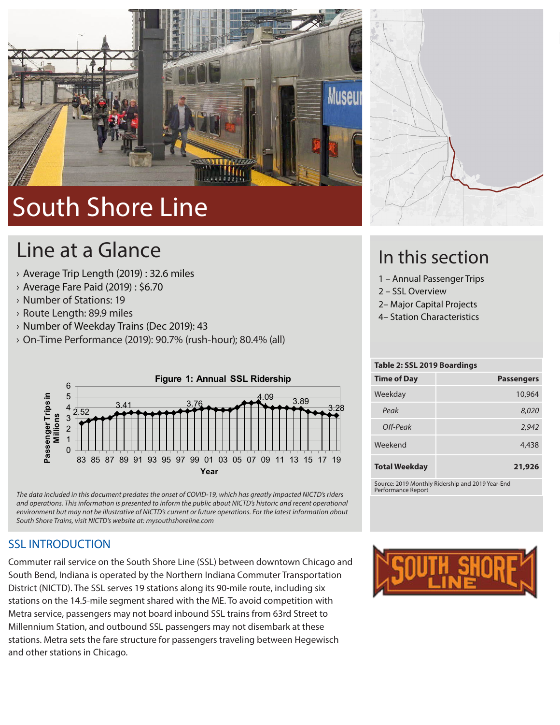

# South Shore Line

## Line at a Glance

- › Average Trip Length (2019) : 32.6 miles
- › Average Fare Paid (2019) : \$6.70
- › Number of Stations: 19
- › Route Length: 89.9 miles
- › Number of Weekday Trains (Dec 2019): 43
- › On-Time Performance (2019): 90.7% (rush-hour); 80.4% (all)





#### SSL INTRODUCTION

Commuter rail service on the South Shore Line (SSL) between downtown Chicago and South Bend, Indiana is operated by the Northern Indiana Commuter Transportation District (NICTD). The SSL serves 19 stations along its 90-mile route, including six stations on the 14.5-mile segment shared with the ME. To avoid competition with Metra service, passengers may not board inbound SSL trains from 63rd Street to Millennium Station, and outbound SSL passengers may not disembark at these stations. Metra sets the fare structure for passengers traveling between Hegewisch and other stations in Chicago.



### In this section

- 1 Annual Passenger Trips
- 2 SSL Overview
- 2– Major Capital Projects
- 4– Station Characteristics

| Table 2: SSL 2019 Boardings                      |                   |  |  |  |  |
|--------------------------------------------------|-------------------|--|--|--|--|
| <b>Time of Day</b>                               | <b>Passengers</b> |  |  |  |  |
| Weekday                                          | 10,964            |  |  |  |  |
| Peak                                             | 8,020             |  |  |  |  |
| Off-Peak                                         | 2,942             |  |  |  |  |
| Weekend                                          | 4,438             |  |  |  |  |
| <b>Total Weekday</b>                             | 21,926            |  |  |  |  |
| Source: 2019 Monthly Ridership and 2019 Year-End |                   |  |  |  |  |

Performance Report

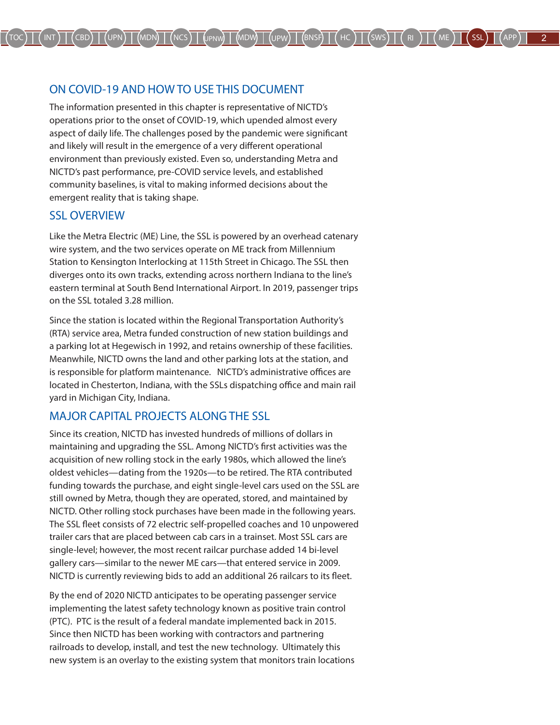#### ON COVID-19 AND HOW TO USE THIS DOCUMENT

The information presented in this chapter is representative of NICTD's operations prior to the onset of COVID-19, which upended almost every aspect of daily life. The challenges posed by the pandemic were significant and likely will result in the emergence of a very different operational environment than previously existed. Even so, understanding Metra and NICTD's past performance, pre-COVID service levels, and established community baselines, is vital to making informed decisions about the emergent reality that is taking shape.

#### SSL OVERVIEW

Like the Metra Electric (ME) Line, the SSL is powered by an overhead catenary wire system, and the two services operate on ME track from Millennium Station to Kensington Interlocking at 115th Street in Chicago. The SSL then diverges onto its own tracks, extending across northern Indiana to the line's eastern terminal at South Bend International Airport. In 2019, passenger trips on the SSL totaled 3.28 million.

Since the station is located within the Regional Transportation Authority's (RTA) service area, Metra funded construction of new station buildings and a parking lot at Hegewisch in 1992, and retains ownership of these facilities. Meanwhile, NICTD owns the land and other parking lots at the station, and is responsible for platform maintenance. NICTD's administrative offices are located in Chesterton, Indiana, with the SSLs dispatching office and main rail yard in Michigan City, Indiana.

#### MAJOR CAPITAL PROJECTS ALONG THE SSL

Since its creation, NICTD has invested hundreds of millions of dollars in maintaining and upgrading the SSL. Among NICTD's first activities was the acquisition of new rolling stock in the early 1980s, which allowed the line's oldest vehicles—dating from the 1920s—to be retired. The RTA contributed funding towards the purchase, and eight single-level cars used on the SSL are still owned by Metra, though they are operated, stored, and maintained by NICTD. Other rolling stock purchases have been made in the following years. The SSL fleet consists of 72 electric self-propelled coaches and 10 unpowered trailer cars that are placed between cab cars in a trainset. Most SSL cars are single-level; however, the most recent railcar purchase added 14 bi-level gallery cars—similar to the newer ME cars—that entered service in 2009. NICTD is currently reviewing bids to add an additional 26 railcars to its fleet.

By the end of 2020 NICTD anticipates to be operating passenger service implementing the latest safety technology known as positive train control (PTC). PTC is the result of a federal mandate implemented back in 2015. Since then NICTD has been working with contractors and partnering railroads to develop, install, and test the new technology. Ultimately this new system is an overlay to the existing system that monitors train locations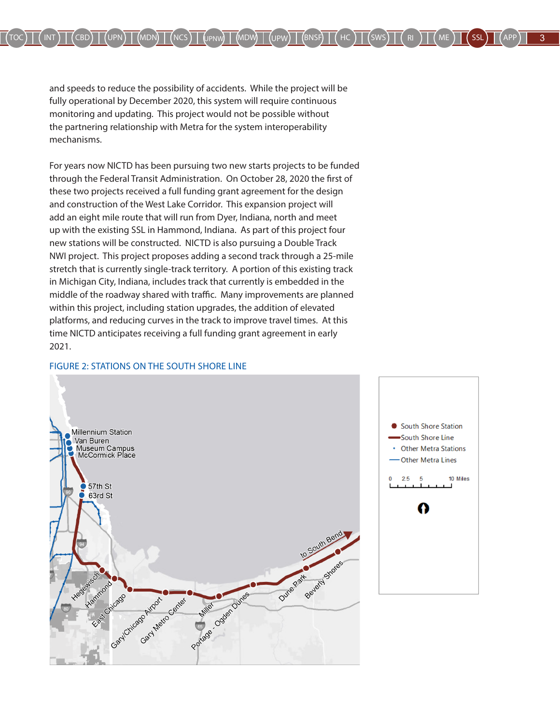and speeds to reduce the possibility of accidents. While the project will be fully operational by December 2020, this system will require continuous monitoring and updating. This project would not be possible without the partnering relationship with Metra for the system interoperability mechanisms.

For years now NICTD has been pursuing two new starts projects to be funded through the Federal Transit Administration. On October 28, 2020 the first of these two projects received a full funding grant agreement for the design and construction of the West Lake Corridor. This expansion project will add an eight mile route that will run from Dyer, Indiana, north and meet up with the existing SSL in Hammond, Indiana. As part of this project four new stations will be constructed. NICTD is also pursuing a Double Track NWI project. This project proposes adding a second track through a 25-mile stretch that is currently single-track territory. A portion of this existing track in Michigan City, Indiana, includes track that currently is embedded in the middle of the roadway shared with traffic. Many improvements are planned within this project, including station upgrades, the addition of elevated platforms, and reducing curves in the track to improve travel times. At this time NICTD anticipates receiving a full funding grant agreement in early 2021.

#### FIGURE 2: STATIONS ON THE SOUTH SHORE LINE